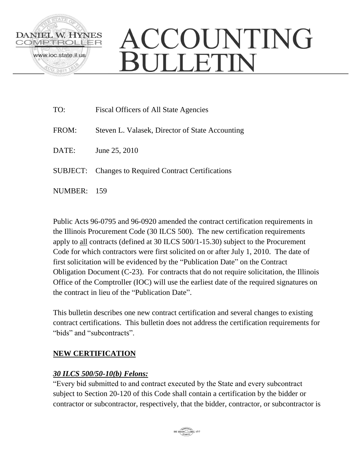

# ACCOUNTING **BULLETIN**

| TO:     | Fiscal Officers of All State Agencies                       |
|---------|-------------------------------------------------------------|
| FROM:   | Steven L. Valasek, Director of State Accounting             |
| DATE:   | June 25, 2010                                               |
|         | <b>SUBJECT:</b> Changes to Required Contract Certifications |
| NUMBER: | - 159                                                       |

Public Acts 96-0795 and 96-0920 amended the contract certification requirements in the Illinois Procurement Code (30 ILCS 500). The new certification requirements apply to all contracts (defined at 30 ILCS 500/1-15.30) subject to the Procurement Code for which contractors were first solicited on or after July 1, 2010. The date of first solicitation will be evidenced by the "Publication Date" on the Contract Obligation Document (C-23). For contracts that do not require solicitation, the Illinois Office of the Comptroller (IOC) will use the earliest date of the required signatures on the contract in lieu of the "Publication Date".

This bulletin describes one new contract certification and several changes to existing contract certifications. This bulletin does not address the certification requirements for "bids" and "subcontracts".

# **NEW CERTIFICATION**

## *30 ILCS 500/50-10(b) Felons:*

"Every bid submitted to and contract executed by the State and every subcontract subject to Section 20-120 of this Code shall contain a certification by the bidder or contractor or subcontractor, respectively, that the bidder, contractor, or subcontractor is

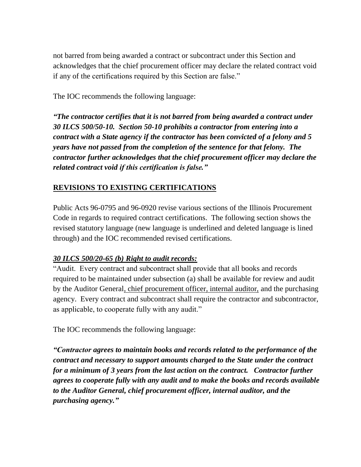not barred from being awarded a contract or subcontract under this Section and acknowledges that the chief procurement officer may declare the related contract void if any of the certifications required by this Section are false."

The IOC recommends the following language:

*"The contractor certifies that it is not barred from being awarded a contract under 30 ILCS 500/50-10. Section 50-10 prohibits a contractor from entering into a contract with a State agency if the contractor has been convicted of a felony and 5 years have not passed from the completion of the sentence for that felony. The contractor further acknowledges that the chief procurement officer may declare the related contract void if this certification is false."*

## **REVISIONS TO EXISTING CERTIFICATIONS**

Public Acts 96-0795 and 96-0920 revise various sections of the Illinois Procurement Code in regards to required contract certifications. The following section shows the revised statutory language (new language is underlined and deleted language is lined through) and the IOC recommended revised certifications.

#### *30 ILCS 500/20-65 (b) Right to audit records:*

"Audit. Every contract and subcontract shall provide that all books and records required to be maintained under subsection (a) shall be available for review and audit by the Auditor General, chief procurement officer, internal auditor, and the purchasing agency. Every contract and subcontract shall require the contractor and subcontractor, as applicable, to cooperate fully with any audit."

The IOC recommends the following language:

*"Contractor agrees to maintain books and records related to the performance of the contract and necessary to support amounts charged to the State under the contract for a minimum of 3 years from the last action on the contract. Contractor further agrees to cooperate fully with any audit and to make the books and records available to the Auditor General, chief procurement officer, internal auditor, and the purchasing agency."*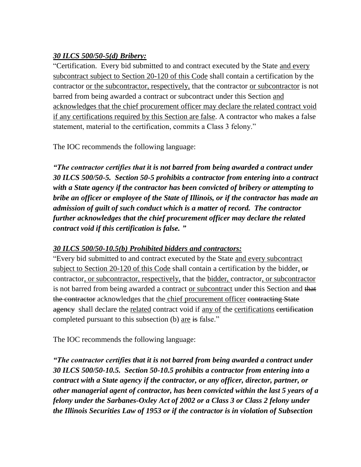## *30 ILCS 500/50-5(d) Bribery:*

"Certification. Every bid submitted to and contract executed by the State and every subcontract subject to Section 20-120 of this Code shall contain a certification by the contractor or the subcontractor, respectively, that the contractor or subcontractor is not barred from being awarded a contract or subcontract under this Section and acknowledges that the chief procurement officer may declare the related contract void if any certifications required by this Section are false. A contractor who makes a false statement, material to the certification, commits a Class 3 felony."

The IOC recommends the following language:

*"The contractor certifies that it is not barred from being awarded a contract under 30 ILCS 500/50-5. Section 50-5 prohibits a contractor from entering into a contract with a State agency if the contractor has been convicted of bribery or attempting to bribe an officer or employee of the State of Illinois, or if the contractor has made an admission of guilt of such conduct which is a matter of record. The contractor further acknowledges that the chief procurement officer may declare the related contract void if this certification is false. "*

## *30 ILCS 500/50-10.5(b) Prohibited bidders and contractors:*

"Every bid submitted to and contract executed by the State and every subcontract subject to Section 20-120 of this Code shall contain a certification by the bidder, or contractor, or subcontractor, respectively, that the bidder, contractor, or subcontractor is not barred from being awarded a contract or subcontract under this Section and that the contractor acknowledges that the chief procurement officer contracting State agency shall declare the related contract void if any of the certifications eertification completed pursuant to this subsection (b) are is false."

The IOC recommends the following language:

*"The contractor certifies that it is not barred from being awarded a contract under 30 ILCS 500/50-10.5. Section 50-10.5 prohibits a contractor from entering into a contract with a State agency if the contractor, or any officer, director, partner, or other managerial agent of contractor, has been convicted within the last 5 years of a felony under the Sarbanes-Oxley Act of 2002 or a Class 3 or Class 2 felony under the Illinois Securities Law of 1953 or if the contractor is in violation of Subsection*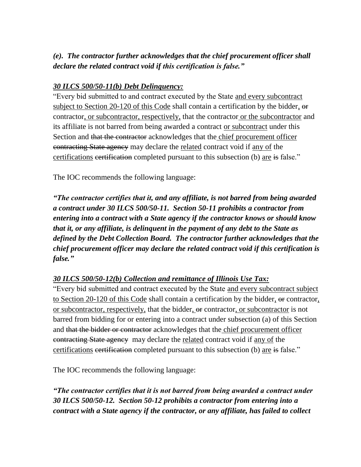## *(e). The contractor further acknowledges that the chief procurement officer shall declare the related contract void if this certification is false."*

#### *30 ILCS 500/50-11(b) Debt Delinquency:*

"Every bid submitted to and contract executed by the State and every subcontract subject to Section 20-120 of this Code shall contain a certification by the bidder,  $\Theta$ contractor, or subcontractor, respectively, that the contractor or the subcontractor and its affiliate is not barred from being awarded a contract or subcontract under this Section and that the contractor acknowledges that the chief procurement officer contracting State agency may declare the related contract void if any of the certifications exertification completed pursuant to this subsection (b) are is false."

The IOC recommends the following language:

*"The contractor certifies that it, and any affiliate, is not barred from being awarded a contract under 30 ILCS 500/50-11. Section 50-11 prohibits a contractor from entering into a contract with a State agency if the contractor knows or should know that it, or any affiliate, is delinquent in the payment of any debt to the State as defined by the Debt Collection Board. The contractor further acknowledges that the chief procurement officer may declare the related contract void if this certification is false."* 

## *30 ILCS 500/50-12(b) Collection and remittance of Illinois Use Tax:*

"Every bid submitted and contract executed by the State and every subcontract subject to Section 20-120 of this Code shall contain a certification by the bidder, or contractor, or subcontractor, respectively, that the bidder,  $\Theta$  contractor, or subcontractor is not barred from bidding for or entering into a contract under subsection (a) of this Section and that the bidder or contractor acknowledges that the chief procurement officer contracting State agency may declare the related contract void if any of the certifications certification completed pursuant to this subsection (b) are is false."

The IOC recommends the following language:

*"The contractor certifies that it is not barred from being awarded a contract under 30 ILCS 500/50-12. Section 50-12 prohibits a contractor from entering into a contract with a State agency if the contractor, or any affiliate, has failed to collect*